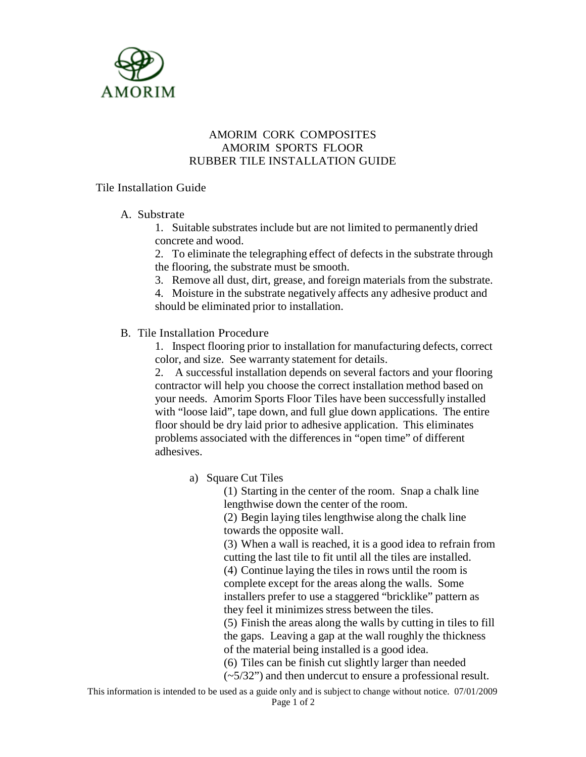

## AMORIM CORK COMPOSITES AMORIM SPORTS FLOOR RUBBER TILE INSTALLATION GUIDE

## Tile Installation Guide

## A. Substrate

1. Suitable substrates include but are not limited to permanently dried concrete and wood.

2. To eliminate the telegraphing effect of defects in the substrate through the flooring, the substrate must be smooth.

3. Remove all dust, dirt, grease, and foreign materials from the substrate.

4. Moisture in the substrate negatively affects any adhesive product and should be eliminated prior to installation.

## B. Tile Installation Procedure

1. Inspect flooring prior to installation for manufacturing defects, correct color, and size. See warranty statement for details.

2. A successful installation depends on several factors and your flooring contractor will help you choose the correct installation method based on your needs. Amorim Sports Floor Tiles have been successfully installed with "loose laid", tape down, and full glue down applications. The entire floor should be dry laid prior to adhesive application. This eliminates problems associated with the differences in "open time" of different adhesives.

a) Square Cut Tiles

(1) Starting in the center of the room. Snap a chalk line lengthwise down the center of the room.

(2) Begin laying tiles lengthwise along the chalk line towards the opposite wall.

(3) When a wall is reached, it is a good idea to refrain from cutting the last tile to fit until all the tiles are installed. (4) Continue laying the tiles in rows until the room is complete except for the areas along the walls. Some installers prefer to use a staggered "bricklike" pattern as they feel it minimizes stress between the tiles.

(5) Finish the areas along the walls by cutting in tiles to fill the gaps. Leaving a gap at the wall roughly the thickness of the material being installed is a good idea.

(6) Tiles can be finish cut slightly larger than needed

(~5/32") and then undercut to ensure a professional result.